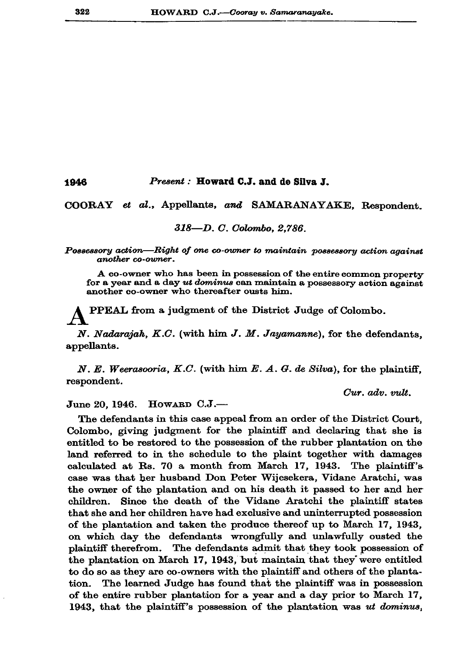## 1946 Present: Howard C.J. and de Silva J.

COORAY et al., Appellants, and SAMARANAYAKE, Respondent.

## 318-D. C. Colombo, 2,786.

Possessory action—Right of one co-owner to maintain possessory action against another co-owner.

A co-owner who has been in possession of the entire common property for a year and a day ut dominus can maintain a possessory action against another co-owner who thereafter ousts him.

PPEAL from a judgment of the District Judge of Colombo.

N. Nadarajah, K.C. (with him J. M. Jayamanne), for the defendants. appellants.

N. E. Weerasooria, K.C. (with him E. A. G. de Silva), for the plaintiff, respondent.

Cur. adv. vult.

HOWARD C.J.-June 20, 1946.

The defendants in this case appeal from an order of the District Court, Colombo, giving judgment for the plaintiff and declaring that she is entitled to be restored to the possession of the rubber plantation on the land referred to in the schedule to the plaint together with damages calculated at Rs. 70 a month from March 17, 1943. The plaintiff's case was that her husband Don Peter Wijesekera, Vidane Aratchi, was the owner of the plantation and on his death it passed to her and her children. Since the death of the Vidane Aratchi the plaintiff states that she and her children have had exclusive and uninterrupted possession of the plantation and taken the produce thereof up to March 17, 1943, on which day the defendants wrongfully and unlawfully ousted the plaintiff therefrom. The defendants admit that they took possession of the plantation on March 17, 1943, but maintain that they were entitled to do so as they are co-owners with the plaintiff and others of the plantation. The learned Judge has found that the plaintiff was in possession of the entire rubber plantation for a year and a day prior to March 17, 1943, that the plaintiff's possession of the plantation was ut dominus,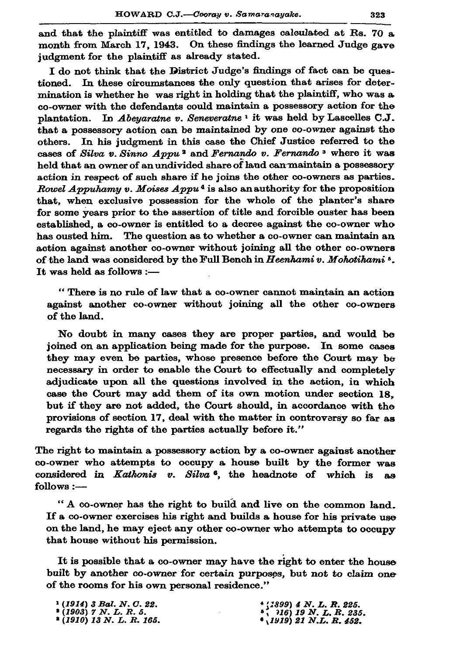and that the plaintiff was entitled to damages calculated at Rs. 70 a month from March 17, 1943. On these findings the learned Judge gave judgment for the plaintiff as already stated.

I do not think that the District Judge's findings of fact can be ques-In these circumstances the only question that arises for detertioned. mination is whether he was right in holding that the plaintiff, who was a co-owner with the defendants could maintain a possessory action for the In Abeyaratne v. Seneveratne<sup>1</sup> it was held by Lascelles C.J. plantation. that a possessory action can be maintained by one co-owner against the In his judgment in this case the Chief Justice referred to the others. cases of Silva v. Sinno Appu<sup>2</sup> and Fernando v. Fernando<sup>3</sup> where it was held that an owner of an undivided share of land can maintain a possessory action in respect of such share if he joins the other co-owners as parties. *Rowel Appuhamy v. Moises Appu*<sup>4</sup> is also an authority for the proposition that, when exclusive possession for the whole of the planter's share for some years prior to the assertion of title and forcible ouster has been established, a co-owner is entitled to a decree against the co-owner who has ousted him. The question as to whether a co-owner can maintain an action against another co-owner without joining all the other co-owners of the land was considered by the Full Bench in Heenhami v. Mohotihami<sup>5</sup>. It was held as follows :-

"There is no rule of law that a co-owner cannot maintain an action against another co-owner without joining all the other co-owners of the land.

No doubt in many cases they are proper parties, and would be joined on an application being made for the purpose. In some cases they may even be parties, whose presence before the Court may be necessary in order to enable the Court to effectually and completely adjudicate upon all the questions involved in the action, in which case the Court may add them of its own motion under section 18. but if they are not added, the Court should, in accordance with the provisions of section 17, deal with the matter in controversy so far as regards the rights of the parties actually before it."

The right to maintain a possessory action by a co-owner against another co-owner who attempts to occupy a house built by the former was considered in Kathonis v. Silva <sup>6</sup>, the headnote of which is as follows :-

"A co-owner has the right to build and live on the common land. If a co-owner exercises his right and builds a house for his private use on the land, he may eject any other co-owner who attempts to occupy that house without his permission.

It is possible that a co-owner may have the right to enter the house built by another co-owner for certain purposes, but not to claim one of the rooms for his own personal residence."

| $(1914)$ 3 Bal. N. C. 22.            |  | $\star$ (1899) 4 N.L.R.225.         |
|--------------------------------------|--|-------------------------------------|
| $(1903)$ $7$ $N$ , $L$ , $R$ , $5$ , |  | $\frac{1}{2}$ (16) 19 N. L. R. 235. |
| $(1910)$ 13 N. L. R. 165.            |  | $(1919)$ 21 N.L. R. 452.            |